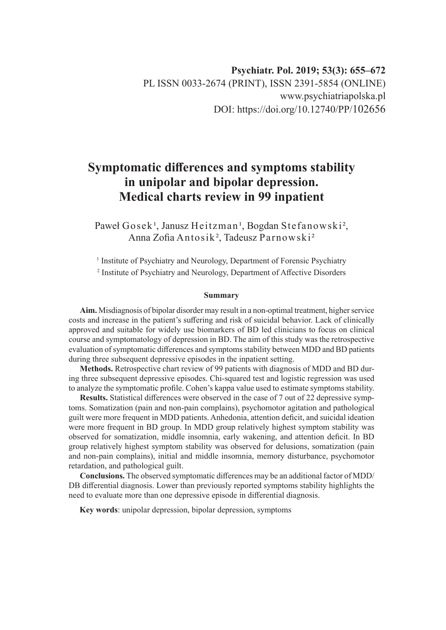# **Symptomatic differences and symptoms stability in unipolar and bipolar depression. Medical charts review in 99 inpatient**

Paweł Gosek<sup>1</sup>, Janusz Heitzman<sup>1</sup>, Bogdan Stefanowski<sup>2</sup>, Anna Zofia Antosik², Tadeusz Parnowski²

<sup>1</sup> Institute of Psychiatry and Neurology, Department of Forensic Psychiatry 2 Institute of Psychiatry and Neurology, Department of Affective Disorders

#### **Summary**

**Aim.** Misdiagnosis of bipolar disorder may result in a non-optimal treatment, higher service costs and increase in the patient's suffering and risk of suicidal behavior. Lack of clinically approved and suitable for widely use biomarkers of BD led clinicians to focus on clinical course and symptomatology of depression in BD. The aim of this study was the retrospective evaluation of symptomatic differences and symptoms stability between MDD and BD patients during three subsequent depressive episodes in the inpatient setting.

**Methods.** Retrospective chart review of 99 patients with diagnosis of MDD and BD during three subsequent depressive episodes. Chi-squared test and logistic regression was used to analyze the symptomatic profile. Cohen's kappa value used to estimate symptoms stability.

**Results.** Statistical differences were observed in the case of 7 out of 22 depressive symptoms. Somatization (pain and non-pain complains), psychomotor agitation and pathological guilt were more frequent in MDD patients. Anhedonia, attention deficit, and suicidal ideation were more frequent in BD group. In MDD group relatively highest symptom stability was observed for somatization, middle insomnia, early wakening, and attention deficit. In BD group relatively highest symptom stability was observed for delusions, somatization (pain and non-pain complains), initial and middle insomnia, memory disturbance, psychomotor retardation, and pathological guilt.

**Conclusions.** The observed symptomatic differences may be an additional factor of MDD/ DB differential diagnosis. Lower than previously reported symptoms stability highlights the need to evaluate more than one depressive episode in differential diagnosis.

**Key words**: unipolar depression, bipolar depression, symptoms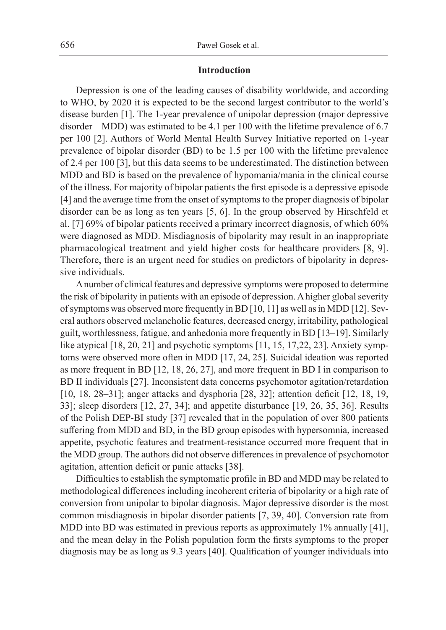## **Introduction**

Depression is one of the leading causes of disability worldwide, and according to WHO, by 2020 it is expected to be the second largest contributor to the world's disease burden [1]. The 1-year prevalence of unipolar depression (major depressive disorder – MDD) was estimated to be 4.1 per 100 with the lifetime prevalence of 6.7 per 100 [2]. Authors of World Mental Health Survey Initiative reported on 1-year prevalence of bipolar disorder (BD) to be 1.5 per 100 with the lifetime prevalence of 2.4 per 100 [3], but this data seems to be underestimated. The distinction between MDD and BD is based on the prevalence of hypomania/mania in the clinical course of the illness. For majority of bipolar patients the first episode is a depressive episode [4] and the average time from the onset of symptoms to the proper diagnosis of bipolar disorder can be as long as ten years [5, 6]. In the group observed by Hirschfeld et al. [7] 69% of bipolar patients received a primary incorrect diagnosis, of which 60% were diagnosed as MDD. Misdiagnosis of bipolarity may result in an inappropriate pharmacological treatment and yield higher costs for healthcare providers [8, 9]. Therefore, there is an urgent need for studies on predictors of bipolarity in depressive individuals.

A number of clinical features and depressive symptoms were proposed to determine the risk of bipolarity in patients with an episode of depression. A higher global severity of symptoms was observed more frequently in BD [10, 11] as well as in MDD [12]. Several authors observed melancholic features, decreased energy, irritability, pathological guilt, worthlessness, fatigue, and anhedonia more frequently in BD [13–19]. Similarly like atypical [18, 20, 21] and psychotic symptoms [11, 15, 17,22, 23]. Anxiety symptoms were observed more often in MDD [17, 24, 25]. Suicidal ideation was reported as more frequent in BD [12, 18, 26, 27], and more frequent in BD I in comparison to BD II individuals [27]. Inconsistent data concerns psychomotor agitation/retardation [10, 18, 28–31]; anger attacks and dysphoria [28, 32]; attention deficit [12, 18, 19, 33]; sleep disorders [12, 27, 34]; and appetite disturbance [19, 26, 35, 36]. Results of the Polish DEP-BI study [37] revealed that in the population of over 800 patients suffering from MDD and BD, in the BD group episodes with hypersomnia, increased appetite, psychotic features and treatment-resistance occurred more frequent that in the MDD group. The authors did not observe differences in prevalence of psychomotor agitation, attention deficit or panic attacks [38].

Difficulties to establish the symptomatic profile in BD and MDD may be related to methodological differences including incoherent criteria of bipolarity or a high rate of conversion from unipolar to bipolar diagnosis. Major depressive disorder is the most common misdiagnosis in bipolar disorder patients [7, 39, 40]. Conversion rate from MDD into BD was estimated in previous reports as approximately 1% annually [41], and the mean delay in the Polish population form the firsts symptoms to the proper diagnosis may be as long as 9.3 years [40]. Qualification of younger individuals into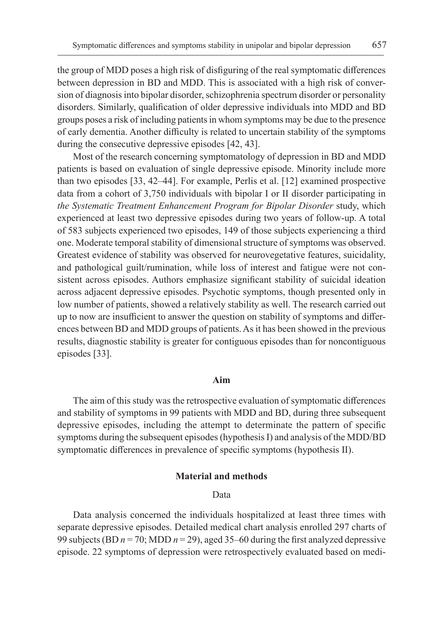the group of MDD poses a high risk of disfiguring of the real symptomatic differences between depression in BD and MDD. This is associated with a high risk of conversion of diagnosis into bipolar disorder, schizophrenia spectrum disorder or personality disorders. Similarly, qualification of older depressive individuals into MDD and BD groups poses a risk of including patients in whom symptoms may be due to the presence of early dementia. Another difficulty is related to uncertain stability of the symptoms during the consecutive depressive episodes [42, 43].

Most of the research concerning symptomatology of depression in BD and MDD patients is based on evaluation of single depressive episode. Minority include more than two episodes [33, 42–44]. For example, Perlis et al. [12] examined prospective data from a cohort of 3,750 individuals with bipolar I or II disorder participating in *the Systematic Treatment Enhancement Program for Bipolar Disorder* study, which experienced at least two depressive episodes during two years of follow-up. A total of 583 subjects experienced two episodes, 149 of those subjects experiencing a third one. Moderate temporal stability of dimensional structure of symptoms was observed. Greatest evidence of stability was observed for neurovegetative features, suicidality, and pathological guilt/rumination, while loss of interest and fatigue were not consistent across episodes. Authors emphasize significant stability of suicidal ideation across adjacent depressive episodes. Psychotic symptoms, though presented only in low number of patients, showed a relatively stability as well. The research carried out up to now are insufficient to answer the question on stability of symptoms and differences between BD and MDD groups of patients. As it has been showed in the previous results, diagnostic stability is greater for contiguous episodes than for noncontiguous episodes [33].

# **Aim**

The aim of this study was the retrospective evaluation of symptomatic differences and stability of symptoms in 99 patients with MDD and BD, during three subsequent depressive episodes, including the attempt to determinate the pattern of specific symptoms during the subsequent episodes (hypothesis I) and analysis of the MDD/BD symptomatic differences in prevalence of specific symptoms (hypothesis II).

# **Material and methods**

### Data

Data analysis concerned the individuals hospitalized at least three times with separate depressive episodes. Detailed medical chart analysis enrolled 297 charts of 99 subjects (BD  $n = 70$ ; MDD  $n = 29$ ), aged 35–60 during the first analyzed depressive episode. 22 symptoms of depression were retrospectively evaluated based on medi-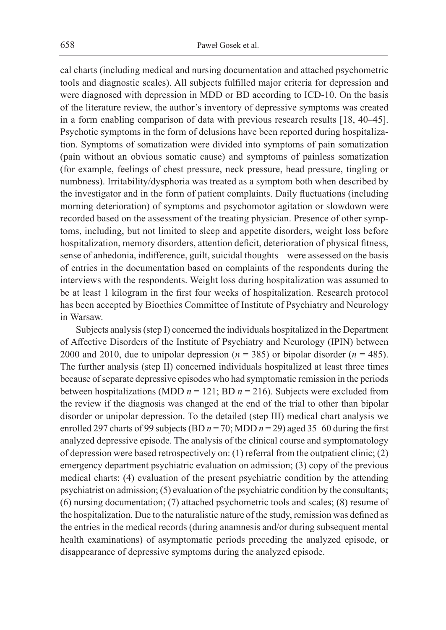cal charts (including medical and nursing documentation and attached psychometric tools and diagnostic scales). All subjects fulfilled major criteria for depression and were diagnosed with depression in MDD or BD according to ICD-10. On the basis of the literature review, the author's inventory of depressive symptoms was created in a form enabling comparison of data with previous research results [18, 40–45]. Psychotic symptoms in the form of delusions have been reported during hospitalization. Symptoms of somatization were divided into symptoms of pain somatization (pain without an obvious somatic cause) and symptoms of painless somatization (for example, feelings of chest pressure, neck pressure, head pressure, tingling or numbness). Irritability/dysphoria was treated as a symptom both when described by the investigator and in the form of patient complaints. Daily fluctuations (including morning deterioration) of symptoms and psychomotor agitation or slowdown were recorded based on the assessment of the treating physician. Presence of other symptoms, including, but not limited to sleep and appetite disorders, weight loss before hospitalization, memory disorders, attention deficit, deterioration of physical fitness, sense of anhedonia, indifference, guilt, suicidal thoughts – were assessed on the basis of entries in the documentation based on complaints of the respondents during the interviews with the respondents. Weight loss during hospitalization was assumed to be at least 1 kilogram in the first four weeks of hospitalization. Research protocol has been accepted by Bioethics Committee of Institute of Psychiatry and Neurology in Warsaw.

Subjects analysis (step I) concerned the individuals hospitalized in the Department of Affective Disorders of the Institute of Psychiatry and Neurology (IPIN) between 2000 and 2010, due to unipolar depression ( $n = 385$ ) or bipolar disorder ( $n = 485$ ). The further analysis (step II) concerned individuals hospitalized at least three times because of separate depressive episodes who had symptomatic remission in the periods between hospitalizations (MDD  $n = 121$ ; BD  $n = 216$ ). Subjects were excluded from the review if the diagnosis was changed at the end of the trial to other than bipolar disorder or unipolar depression. To the detailed (step III) medical chart analysis we enrolled 297 charts of 99 subjects (BD  $n = 70$ ; MDD  $n = 29$ ) aged 35–60 during the first analyzed depressive episode. The analysis of the clinical course and symptomatology of depression were based retrospectively on: (1) referral from the outpatient clinic; (2) emergency department psychiatric evaluation on admission; (3) copy of the previous medical charts; (4) evaluation of the present psychiatric condition by the attending psychiatrist on admission; (5) evaluation of the psychiatric condition by the consultants; (6) nursing documentation; (7) attached psychometric tools and scales; (8) resume of the hospitalization. Due to the naturalistic nature of the study, remission was defined as the entries in the medical records (during anamnesis and/or during subsequent mental health examinations) of asymptomatic periods preceding the analyzed episode, or disappearance of depressive symptoms during the analyzed episode.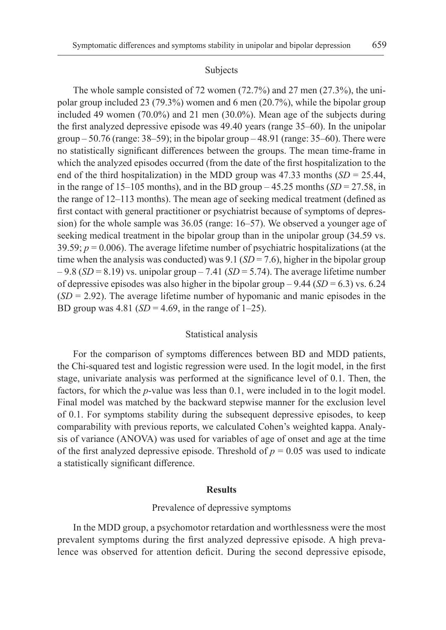#### Subjects

The whole sample consisted of 72 women (72.7%) and 27 men (27.3%), the unipolar group included 23 (79.3%) women and 6 men (20.7%), while the bipolar group included 49 women (70.0%) and 21 men (30.0%). Mean age of the subjects during the first analyzed depressive episode was 49.40 years (range 35–60). In the unipolar group  $-50.76$  (range:  $38-59$ ); in the bipolar group  $-48.91$  (range:  $35-60$ ). There were no statistically significant differences between the groups. The mean time-frame in which the analyzed episodes occurred (from the date of the first hospitalization to the end of the third hospitalization) in the MDD group was  $47.33$  months (*SD* = 25.44, in the range of  $15-105$  months), and in the BD group  $-45.25$  months  $(SD = 27.58)$ , in the range of 12–113 months). The mean age of seeking medical treatment (defined as first contact with general practitioner or psychiatrist because of symptoms of depression) for the whole sample was 36.05 (range: 16–57). We observed a younger age of seeking medical treatment in the bipolar group than in the unipolar group (34.59 vs. 39.59;  $p = 0.006$ ). The average lifetime number of psychiatric hospitalizations (at the time when the analysis was conducted) was  $9.1$  (*SD* = 7.6), higher in the bipolar group  $-9.8$  (*SD* = 8.19) vs. unipolar group  $-7.41$  (*SD* = 5.74). The average lifetime number of depressive episodes was also higher in the bipolar group  $-9.44$  (*SD* = 6.3) vs. 6.24 (*SD* = 2.92). The average lifetime number of hypomanic and manic episodes in the BD group was 4.81 ( $SD = 4.69$ , in the range of 1–25).

#### Statistical analysis

For the comparison of symptoms differences between BD and MDD patients, the Chi-squared test and logistic regression were used. In the logit model, in the first stage, univariate analysis was performed at the significance level of 0.1. Then, the factors, for which the *p*-value was less than 0.1, were included in to the logit model. Final model was matched by the backward stepwise manner for the exclusion level of 0.1. For symptoms stability during the subsequent depressive episodes, to keep comparability with previous reports, we calculated Cohen's weighted kappa. Analysis of variance (ANOVA) was used for variables of age of onset and age at the time of the first analyzed depressive episode. Threshold of  $p = 0.05$  was used to indicate a statistically significant difference.

### **Results**

## Prevalence of depressive symptoms

In the MDD group, a psychomotor retardation and worthlessness were the most prevalent symptoms during the first analyzed depressive episode. A high prevalence was observed for attention deficit. During the second depressive episode,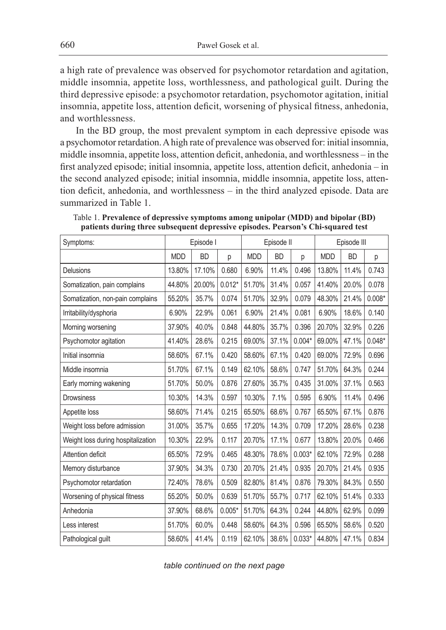a high rate of prevalence was observed for psychomotor retardation and agitation, middle insomnia, appetite loss, worthlessness, and pathological guilt. During the third depressive episode: a psychomotor retardation, psychomotor agitation, initial insomnia, appetite loss, attention deficit, worsening of physical fitness, anhedonia, and worthlessness.

In the BD group, the most prevalent symptom in each depressive episode was a psychomotor retardation. A high rate of prevalence was observed for: initial insomnia, middle insomnia, appetite loss, attention deficit, anhedonia, and worthlessness – in the first analyzed episode; initial insomnia, appetite loss, attention deficit, anhedonia – in the second analyzed episode; initial insomnia, middle insomnia, appetite loss, attention deficit, anhedonia, and worthlessness – in the third analyzed episode. Data are summarized in Table 1.

| Symptoms:                          | Episode I  |           |          | Episode II |           |          | Episode III |           |          |
|------------------------------------|------------|-----------|----------|------------|-----------|----------|-------------|-----------|----------|
|                                    | <b>MDD</b> | <b>BD</b> | p        | <b>MDD</b> | <b>BD</b> | p        | <b>MDD</b>  | <b>BD</b> | р        |
| Delusions                          | 13.80%     | 17.10%    | 0.680    | 6.90%      | 11.4%     | 0.496    | 13.80%      | 11.4%     | 0.743    |
| Somatization, pain complains       | 44.80%     | 20.00%    | $0.012*$ | 51.70%     | 31.4%     | 0.057    | 41.40%      | 20.0%     | 0.078    |
| Somatization, non-pain complains   | 55.20%     | 35.7%     | 0.074    | 51.70%     | 32.9%     | 0.079    | 48.30%      | 21.4%     | $0.008*$ |
| Irritability/dysphoria             | 6.90%      | 22.9%     | 0.061    | 6.90%      | 21.4%     | 0.081    | 6.90%       | 18.6%     | 0.140    |
| Morning worsening                  | 37.90%     | 40.0%     | 0.848    | 44.80%     | 35.7%     | 0.396    | 20.70%      | 32.9%     | 0.226    |
| Psychomotor agitation              | 41.40%     | 28.6%     | 0.215    | 69.00%     | 37.1%     | $0.004*$ | 69.00%      | 47.1%     | $0.048*$ |
| Initial insomnia                   | 58.60%     | 67.1%     | 0.420    | 58.60%     | 67.1%     | 0.420    | 69.00%      | 72.9%     | 0.696    |
| Middle insomnia                    | 51.70%     | 67.1%     | 0.149    | 62.10%     | 58.6%     | 0.747    | 51.70%      | 64.3%     | 0.244    |
| Early morning wakening             | 51.70%     | 50.0%     | 0.876    | 27.60%     | 35.7%     | 0.435    | 31.00%      | 37.1%     | 0.563    |
| <b>Drowsiness</b>                  | 10.30%     | 14.3%     | 0.597    | 10.30%     | 7.1%      | 0.595    | 6.90%       | 11.4%     | 0.496    |
| Appetite loss                      | 58.60%     | 71.4%     | 0.215    | 65.50%     | 68.6%     | 0.767    | 65.50%      | 67.1%     | 0.876    |
| Weight loss before admission       | 31.00%     | 35.7%     | 0.655    | 17.20%     | 14.3%     | 0.709    | 17.20%      | 28.6%     | 0.238    |
| Weight loss during hospitalization | 10.30%     | 22.9%     | 0.117    | 20.70%     | 17.1%     | 0.677    | 13.80%      | 20.0%     | 0.466    |
| Attention deficit                  | 65.50%     | 72.9%     | 0.465    | 48.30%     | 78.6%     | $0.003*$ | 62.10%      | 72.9%     | 0.288    |
| Memory disturbance                 | 37.90%     | 34.3%     | 0.730    | 20.70%     | 21.4%     | 0.935    | 20.70%      | 21.4%     | 0.935    |
| Psychomotor retardation            | 72.40%     | 78.6%     | 0.509    | 82.80%     | 81.4%     | 0.876    | 79.30%      | 84.3%     | 0.550    |
| Worsening of physical fitness      | 55.20%     | 50.0%     | 0.639    | 51.70%     | 55.7%     | 0.717    | 62.10%      | 51.4%     | 0.333    |
| Anhedonia                          | 37.90%     | 68.6%     | $0.005*$ | 51.70%     | 64.3%     | 0.244    | 44.80%      | 62.9%     | 0.099    |
| Less interest                      | 51.70%     | 60.0%     | 0.448    | 58.60%     | 64.3%     | 0.596    | 65.50%      | 58.6%     | 0.520    |
| Pathological guilt                 | 58.60%     | 41.4%     | 0.119    | 62.10%     | 38.6%     | $0.033*$ | 44.80%      | 47.1%     | 0.834    |

Table 1. **Prevalence of depressive symptoms among unipolar (MDD) and bipolar (BD) patients during three subsequent depressive episodes. Pearson's Chi-squared test**

*table continued on the next page*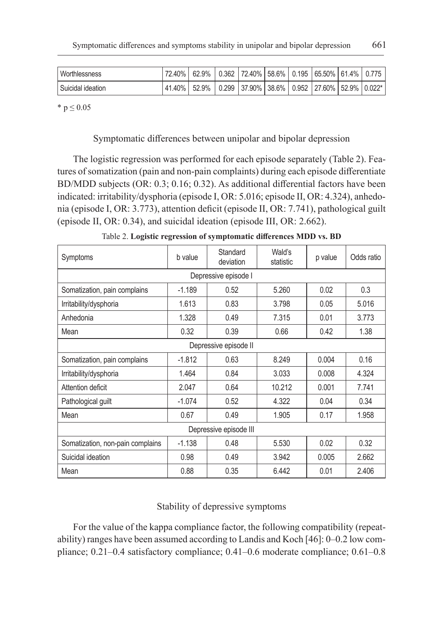| Worthlessness     | 72.40%   62.9%   0.362   72.40%   58.6%   0.195   65.50%   61.4%   0.775  |  |  |  |  |
|-------------------|---------------------------------------------------------------------------|--|--|--|--|
| Suicidal ideation | 41.40%   52.9%   0.299   37.90%   38.6%   0.952   27.60%   52.9%   0.022* |  |  |  |  |

 $*$  p  $\leq 0.05$ 

# Symptomatic differences between unipolar and bipolar depression

The logistic regression was performed for each episode separately (Table 2). Features of somatization (pain and non-pain complaints) during each episode differentiate BD/MDD subjects (OR: 0.3; 0.16; 0.32). As additional differential factors have been indicated: irritability/dysphoria (episode I, OR: 5.016; episode II, OR: 4.324), anhedonia (episode I, OR: 3.773), attention deficit (episode II, OR: 7.741), pathological guilt (episode II, OR: 0.34), and suicidal ideation (episode III, OR: 2.662).

| Symptoms                         | Standard<br>b value<br>deviation |      | Wald's<br>statistic | p value | Odds ratio |  |  |  |  |  |
|----------------------------------|----------------------------------|------|---------------------|---------|------------|--|--|--|--|--|
| Depressive episode I             |                                  |      |                     |         |            |  |  |  |  |  |
| Somatization, pain complains     | $-1.189$                         | 0.52 | 5.260               | 0.02    | 0.3        |  |  |  |  |  |
| Irritability/dysphoria           | 1.613                            | 0.83 | 3.798               | 0.05    | 5.016      |  |  |  |  |  |
| Anhedonia                        | 1.328                            | 0.49 | 7.315               | 0.01    | 3.773      |  |  |  |  |  |
| Mean                             | 0.32                             | 0.39 | 0.66                | 0.42    | 1.38       |  |  |  |  |  |
| Depressive episode II            |                                  |      |                     |         |            |  |  |  |  |  |
| Somatization, pain complains     | $-1.812$                         | 0.63 | 8.249               | 0.004   | 0.16       |  |  |  |  |  |
| Irritability/dysphoria           | 1.464                            | 0.84 | 3.033               | 0.008   | 4.324      |  |  |  |  |  |
| Attention deficit                | 2.047                            | 0.64 | 10.212              | 0.001   | 7.741      |  |  |  |  |  |
| Pathological guilt               | $-1.074$                         | 0.52 | 4.322               | 0.04    | 0.34       |  |  |  |  |  |
| Mean                             | 0.67                             | 0.49 | 1.905               | 0.17    | 1.958      |  |  |  |  |  |
| Depressive episode III           |                                  |      |                     |         |            |  |  |  |  |  |
| Somatization, non-pain complains | $-1.138$                         | 0.48 | 5.530               | 0.02    | 0.32       |  |  |  |  |  |
| Suicidal ideation                | 0.98                             | 0.49 | 3.942               | 0.005   | 2.662      |  |  |  |  |  |
| Mean                             | 0.88                             | 0.35 | 6.442               | 0.01    | 2.406      |  |  |  |  |  |

Table 2. **Logistic regression of symptomatic differences MDD vs. BD**

# Stability of depressive symptoms

For the value of the kappa compliance factor, the following compatibility (repeatability) ranges have been assumed according to Landis and Koch [46]: 0–0.2 low compliance; 0.21–0.4 satisfactory compliance; 0.41–0.6 moderate compliance; 0.61–0.8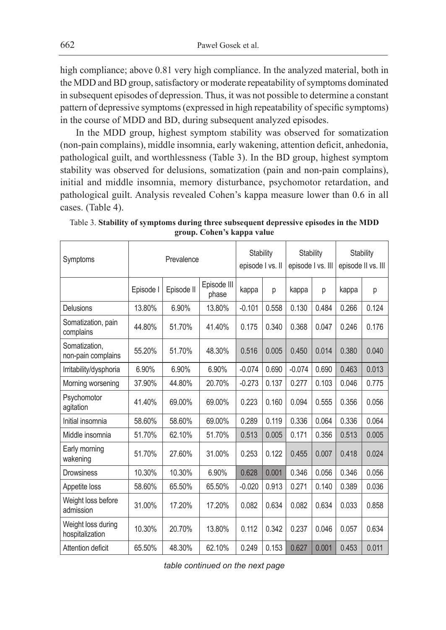high compliance; above 0.81 very high compliance. In the analyzed material, both in the MDD and BD group, satisfactory or moderate repeatability of symptoms dominated in subsequent episodes of depression. Thus, it was not possible to determine a constant pattern of depressive symptoms (expressed in high repeatability of specific symptoms) in the course of MDD and BD, during subsequent analyzed episodes.

In the MDD group, highest symptom stability was observed for somatization (non-pain complains), middle insomnia, early wakening, attention deficit, anhedonia, pathological guilt, and worthlessness (Table 3). In the BD group, highest symptom stability was observed for delusions, somatization (pain and non-pain complains), initial and middle insomnia, memory disturbance, psychomotor retardation, and pathological guilt. Analysis revealed Cohen's kappa measure lower than 0.6 in all cases. (Table 4).

| Symptoms                              | Prevalence |            |                      | Stability<br>episode I vs. II |       | Stability<br>episode I vs. III |       | <b>Stability</b><br>episode II vs. III |       |
|---------------------------------------|------------|------------|----------------------|-------------------------------|-------|--------------------------------|-------|----------------------------------------|-------|
|                                       | Episode I  | Episode II | Episode III<br>phase | kappa                         | р     | kappa                          | р     | kappa                                  | р     |
| Delusions                             | 13.80%     | 6.90%      | 13.80%               | $-0.101$                      | 0.558 | 0.130                          | 0.484 | 0.266                                  | 0.124 |
| Somatization, pain<br>complains       | 44.80%     | 51.70%     | 41.40%               | 0.175                         | 0.340 | 0.368                          | 0.047 | 0.246                                  | 0.176 |
| Somatization,<br>non-pain complains   | 55.20%     | 51.70%     | 48.30%               | 0.516                         | 0.005 | 0.450                          | 0.014 | 0.380                                  | 0.040 |
| Irritability/dysphoria                | 6.90%      | 6.90%      | 6.90%                | $-0.074$                      | 0.690 | $-0.074$                       | 0.690 | 0.463                                  | 0.013 |
| Morning worsening                     | 37.90%     | 44.80%     | 20.70%               | $-0.273$                      | 0.137 | 0.277                          | 0.103 | 0.046                                  | 0.775 |
| Psychomotor<br>agitation              | 41.40%     | 69.00%     | 69.00%               | 0.223                         | 0.160 | 0.094                          | 0.555 | 0.356                                  | 0.056 |
| Initial insomnia                      | 58.60%     | 58.60%     | 69.00%               | 0.289                         | 0.119 | 0.336                          | 0.064 | 0.336                                  | 0.064 |
| Middle insomnia                       | 51.70%     | 62.10%     | 51.70%               | 0.513                         | 0.005 | 0.171                          | 0.356 | 0.513                                  | 0.005 |
| Early morning<br>wakening             | 51.70%     | 27.60%     | 31.00%               | 0.253                         | 0.122 | 0.455                          | 0.007 | 0.418                                  | 0.024 |
| <b>Drowsiness</b>                     | 10.30%     | 10.30%     | 6.90%                | 0.628                         | 0.001 | 0.346                          | 0.056 | 0.346                                  | 0.056 |
| Appetite loss                         | 58.60%     | 65.50%     | 65.50%               | $-0.020$                      | 0.913 | 0.271                          | 0.140 | 0.389                                  | 0.036 |
| Weight loss before<br>admission       | 31.00%     | 17.20%     | 17.20%               | 0.082                         | 0.634 | 0.082                          | 0.634 | 0.033                                  | 0.858 |
| Weight loss during<br>hospitalization | 10.30%     | 20.70%     | 13.80%               | 0.112                         | 0.342 | 0.237                          | 0.046 | 0.057                                  | 0.634 |
| Attention deficit                     | 65.50%     | 48.30%     | 62.10%               | 0.249                         | 0.153 | 0.627                          | 0.001 | 0.453                                  | 0.011 |

Table 3. **Stability of symptoms during three subsequent depressive episodes in the MDD group. Cohen's kappa value**

*table continued on the next page*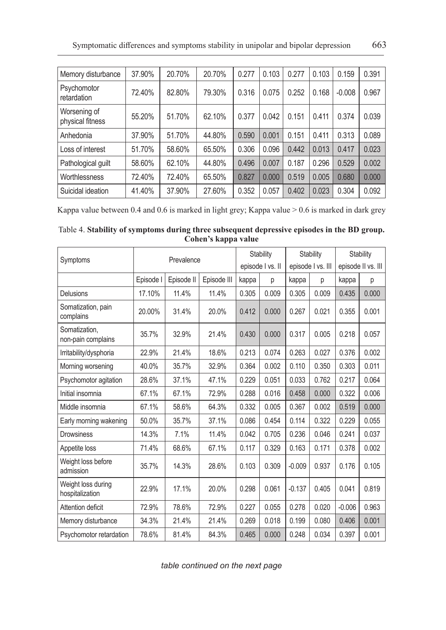| Memory disturbance               | 37.90% | 20.70% | 20.70% | 0.277 | 0.103 | 0.277 | 0.103 | 0.159    | 0.391 |
|----------------------------------|--------|--------|--------|-------|-------|-------|-------|----------|-------|
| Psychomotor<br>retardation       | 72.40% | 82.80% | 79.30% | 0.316 | 0.075 | 0.252 | 0.168 | $-0.008$ | 0.967 |
| Worsening of<br>physical fitness | 55.20% | 51.70% | 62.10% | 0.377 | 0.042 | 0.151 | 0.411 | 0.374    | 0.039 |
| Anhedonia                        | 37.90% | 51.70% | 44.80% | 0.590 | 0.001 | 0.151 | 0.411 | 0.313    | 0.089 |
| Loss of interest                 | 51.70% | 58.60% | 65.50% | 0.306 | 0.096 | 0.442 | 0.013 | 0.417    | 0.023 |
| Pathological guilt               | 58.60% | 62.10% | 44.80% | 0.496 | 0.007 | 0.187 | 0.296 | 0.529    | 0.002 |
| Worthlessness                    | 72.40% | 72.40% | 65.50% | 0.827 | 0.000 | 0.519 | 0.005 | 0.680    | 0.000 |
| Suicidal ideation                | 41.40% | 37.90% | 27.60% | 0.352 | 0.057 | 0.402 | 0.023 | 0.304    | 0.092 |

Kappa value between 0.4 and 0.6 is marked in light grey; Kappa value > 0.6 is marked in dark grey

| Table 4. Stability of symptoms during three subsequent depressive episodes in the BD group. |  |
|---------------------------------------------------------------------------------------------|--|
| Cohen's kappa value                                                                         |  |

|                                       |           | Stability  |             | <b>Stability</b> |       | Stability         |       |                    |       |
|---------------------------------------|-----------|------------|-------------|------------------|-------|-------------------|-------|--------------------|-------|
| Symptoms                              |           | Prevalence |             | episode I vs. II |       | episode I vs. III |       | episode II vs. III |       |
|                                       | Episode I | Episode II | Episode III | kappa            | р     | kappa             | p     | kappa              | р     |
| Delusions                             | 17.10%    | 11.4%      | 11.4%       | 0.305            | 0.009 | 0.305             | 0.009 | 0.435              | 0.000 |
| Somatization, pain<br>complains       | 20.00%    | 31.4%      | 20.0%       | 0.412            | 0.000 | 0.267             | 0.021 | 0.355              | 0.001 |
| Somatization.<br>non-pain complains   | 35.7%     | 32.9%      | 21.4%       | 0.430            | 0.000 | 0.317             | 0.005 | 0.218              | 0.057 |
| Irritability/dysphoria                | 22.9%     | 21.4%      | 18.6%       | 0.213            | 0.074 | 0.263             | 0.027 | 0.376              | 0.002 |
| Morning worsening                     | 40.0%     | 35.7%      | 32.9%       | 0.364            | 0.002 | 0.110             | 0.350 | 0.303              | 0.011 |
| Psychomotor agitation                 | 28.6%     | 37.1%      | 47.1%       | 0.229            | 0.051 | 0.033             | 0.762 | 0.217              | 0.064 |
| Initial insomnia                      | 67.1%     | 67.1%      | 72.9%       | 0.288            | 0.016 | 0.458             | 0.000 | 0.322              | 0.006 |
| Middle insomnia                       | 67.1%     | 58.6%      | 64.3%       | 0.332            | 0.005 | 0.367             | 0.002 | 0.519              | 0.000 |
| Early morning wakening                | 50.0%     | 35.7%      | 37.1%       | 0.086            | 0.454 | 0.114             | 0.322 | 0.229              | 0.055 |
| <b>Drowsiness</b>                     | 14.3%     | 7.1%       | 11.4%       | 0.042            | 0.705 | 0.236             | 0.046 | 0.241              | 0.037 |
| Appetite loss                         | 71.4%     | 68.6%      | 67.1%       | 0.117            | 0.329 | 0.163             | 0.171 | 0.378              | 0.002 |
| Weight loss before<br>admission       | 35.7%     | 14.3%      | 28.6%       | 0.103            | 0.309 | $-0.009$          | 0.937 | 0.176              | 0.105 |
| Weight loss during<br>hospitalization | 22.9%     | 17.1%      | 20.0%       | 0.298            | 0.061 | $-0.137$          | 0.405 | 0.041              | 0.819 |
| Attention deficit                     | 72.9%     | 78.6%      | 72.9%       | 0.227            | 0.055 | 0.278             | 0.020 | $-0.006$           | 0.963 |
| Memory disturbance                    | 34.3%     | 21.4%      | 21.4%       | 0.269            | 0.018 | 0.199             | 0.080 | 0.406              | 0.001 |
| Psychomotor retardation               | 78.6%     | 81.4%      | 84.3%       | 0.465            | 0.000 | 0.248             | 0.034 | 0.397              | 0.001 |

*table continued on the next page*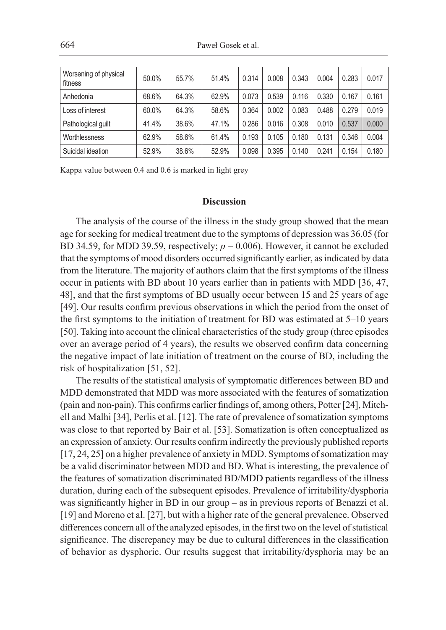| Worsening of physical<br>fitness | 50.0% | 55.7% | 51.4% | 0.314 | 0.008 | 0.343 | 0.004 | 0.283 | 0.017 |
|----------------------------------|-------|-------|-------|-------|-------|-------|-------|-------|-------|
| Anhedonia                        | 68.6% | 64.3% | 62.9% | 0.073 | 0.539 | 0.116 | 0.330 | 0.167 | 0.161 |
| Loss of interest                 | 60.0% | 64.3% | 58.6% | 0.364 | 0.002 | 0.083 | 0.488 | 0.279 | 0.019 |
| Pathological quilt               | 41.4% | 38.6% | 47.1% | 0.286 | 0.016 | 0.308 | 0.010 | 0.537 | 0.000 |
| Worthlessness                    | 62.9% | 58.6% | 61.4% | 0.193 | 0.105 | 0.180 | 0.131 | 0.346 | 0.004 |
| Suicidal ideation                | 52.9% | 38.6% | 52.9% | 0.098 | 0.395 | 0.140 | 0.241 | 0.154 | 0.180 |

Kappa value between 0.4 and 0.6 is marked in light grey

#### **Discussion**

The analysis of the course of the illness in the study group showed that the mean age for seeking for medical treatment due to the symptoms of depression was 36.05 (for BD 34.59, for MDD 39.59, respectively;  $p = 0.006$ ). However, it cannot be excluded that the symptoms of mood disorders occurred significantly earlier, as indicated by data from the literature. The majority of authors claim that the first symptoms of the illness occur in patients with BD about 10 years earlier than in patients with MDD [36, 47, 48], and that the first symptoms of BD usually occur between 15 and 25 years of age [49]. Our results confirm previous observations in which the period from the onset of the first symptoms to the initiation of treatment for BD was estimated at 5–10 years [50]. Taking into account the clinical characteristics of the study group (three episodes over an average period of 4 years), the results we observed confirm data concerning the negative impact of late initiation of treatment on the course of BD, including the risk of hospitalization [51, 52].

The results of the statistical analysis of symptomatic differences between BD and MDD demonstrated that MDD was more associated with the features of somatization (pain and non-pain). This confirms earlier findings of, among others, Potter [24], Mitchell and Malhi [34], Perlis et al. [12]. The rate of prevalence of somatization symptoms was close to that reported by Bair et al. [53]. Somatization is often conceptualized as an expression of anxiety. Our results confirm indirectly the previously published reports [17, 24, 25] on a higher prevalence of anxiety in MDD. Symptoms of somatization may be a valid discriminator between MDD and BD. What is interesting, the prevalence of the features of somatization discriminated BD/MDD patients regardless of the illness duration, during each of the subsequent episodes. Prevalence of irritability/dysphoria was significantly higher in BD in our group – as in previous reports of Benazzi et al. [19] and Moreno et al. [27], but with a higher rate of the general prevalence. Observed differences concern all of the analyzed episodes, in the first two on the level of statistical significance. The discrepancy may be due to cultural differences in the classification of behavior as dysphoric. Our results suggest that irritability/dysphoria may be an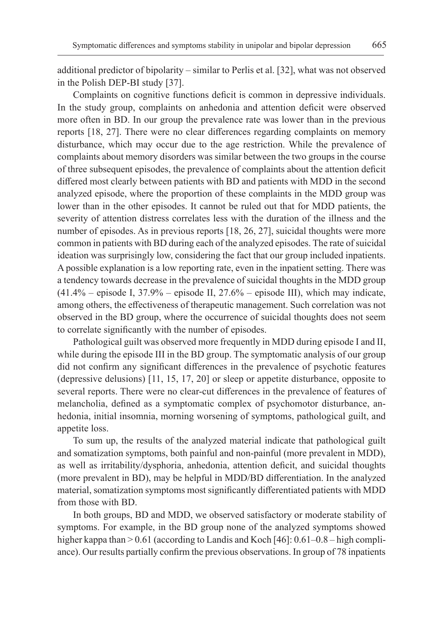additional predictor of bipolarity – similar to Perlis et al. [32], what was not observed in the Polish DEP-BI study [37].

Complaints on cognitive functions deficit is common in depressive individuals. In the study group, complaints on anhedonia and attention deficit were observed more often in BD. In our group the prevalence rate was lower than in the previous reports [18, 27]. There were no clear differences regarding complaints on memory disturbance, which may occur due to the age restriction. While the prevalence of complaints about memory disorders was similar between the two groups in the course of three subsequent episodes, the prevalence of complaints about the attention deficit differed most clearly between patients with BD and patients with MDD in the second analyzed episode, where the proportion of these complaints in the MDD group was lower than in the other episodes. It cannot be ruled out that for MDD patients, the severity of attention distress correlates less with the duration of the illness and the number of episodes. As in previous reports [18, 26, 27], suicidal thoughts were more common in patients with BD during each of the analyzed episodes. The rate of suicidal ideation was surprisingly low, considering the fact that our group included inpatients. A possible explanation is a low reporting rate, even in the inpatient setting. There was a tendency towards decrease in the prevalence of suicidal thoughts in the MDD group  $(41.4\%$  – episode I, 37.9% – episode II, 27.6% – episode III), which may indicate, among others, the effectiveness of therapeutic management. Such correlation was not observed in the BD group, where the occurrence of suicidal thoughts does not seem to correlate significantly with the number of episodes.

Pathological guilt was observed more frequently in MDD during episode I and II, while during the episode III in the BD group. The symptomatic analysis of our group did not confirm any significant differences in the prevalence of psychotic features (depressive delusions) [11, 15, 17, 20] or sleep or appetite disturbance, opposite to several reports. There were no clear-cut differences in the prevalence of features of melancholia, defined as a symptomatic complex of psychomotor disturbance, anhedonia, initial insomnia, morning worsening of symptoms, pathological guilt, and appetite loss.

To sum up, the results of the analyzed material indicate that pathological guilt and somatization symptoms, both painful and non-painful (more prevalent in MDD), as well as irritability/dysphoria, anhedonia, attention deficit, and suicidal thoughts (more prevalent in BD), may be helpful in MDD/BD differentiation. In the analyzed material, somatization symptoms most significantly differentiated patients with MDD from those with BD.

In both groups, BD and MDD, we observed satisfactory or moderate stability of symptoms. For example, in the BD group none of the analyzed symptoms showed higher kappa than > 0.61 (according to Landis and Koch [46]: 0.61–0.8 – high compliance). Our results partially confirm the previous observations. In group of 78 inpatients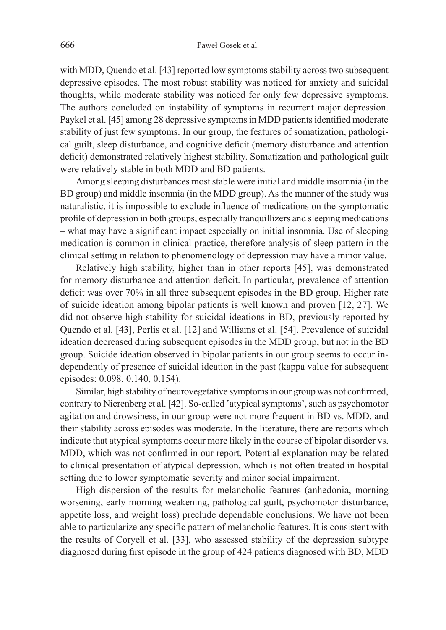with MDD, Quendo et al. [43] reported low symptoms stability across two subsequent depressive episodes. The most robust stability was noticed for anxiety and suicidal thoughts, while moderate stability was noticed for only few depressive symptoms. The authors concluded on instability of symptoms in recurrent major depression. Paykel et al. [45] among 28 depressive symptoms in MDD patients identified moderate stability of just few symptoms. In our group, the features of somatization, pathological guilt, sleep disturbance, and cognitive deficit (memory disturbance and attention deficit) demonstrated relatively highest stability. Somatization and pathological guilt were relatively stable in both MDD and BD patients.

Among sleeping disturbances most stable were initial and middle insomnia (in the BD group) and middle insomnia (in the MDD group). As the manner of the study was naturalistic, it is impossible to exclude influence of medications on the symptomatic profile of depression in both groups, especially tranquillizers and sleeping medications – what may have a significant impact especially on initial insomnia. Use of sleeping medication is common in clinical practice, therefore analysis of sleep pattern in the clinical setting in relation to phenomenology of depression may have a minor value.

Relatively high stability, higher than in other reports [45], was demonstrated for memory disturbance and attention deficit. In particular, prevalence of attention deficit was over 70% in all three subsequent episodes in the BD group. Higher rate of suicide ideation among bipolar patients is well known and proven [12, 27]. We did not observe high stability for suicidal ideations in BD, previously reported by Quendo et al. [43], Perlis et al. [12] and Williams et al. [54]. Prevalence of suicidal ideation decreased during subsequent episodes in the MDD group, but not in the BD group. Suicide ideation observed in bipolar patients in our group seems to occur independently of presence of suicidal ideation in the past (kappa value for subsequent episodes: 0.098, 0.140, 0.154).

Similar, high stability of neurovegetative symptoms in our group was not confirmed, contrary to Nierenberg et al. [42]. So-called 'atypical symptoms', such as psychomotor agitation and drowsiness, in our group were not more frequent in BD vs. MDD, and their stability across episodes was moderate. In the literature, there are reports which indicate that atypical symptoms occur more likely in the course of bipolar disorder vs. MDD, which was not confirmed in our report. Potential explanation may be related to clinical presentation of atypical depression, which is not often treated in hospital setting due to lower symptomatic severity and minor social impairment.

High dispersion of the results for melancholic features (anhedonia, morning worsening, early morning weakening, pathological guilt, psychomotor disturbance, appetite loss, and weight loss) preclude dependable conclusions. We have not been able to particularize any specific pattern of melancholic features. It is consistent with the results of Coryell et al. [33], who assessed stability of the depression subtype diagnosed during first episode in the group of 424 patients diagnosed with BD, MDD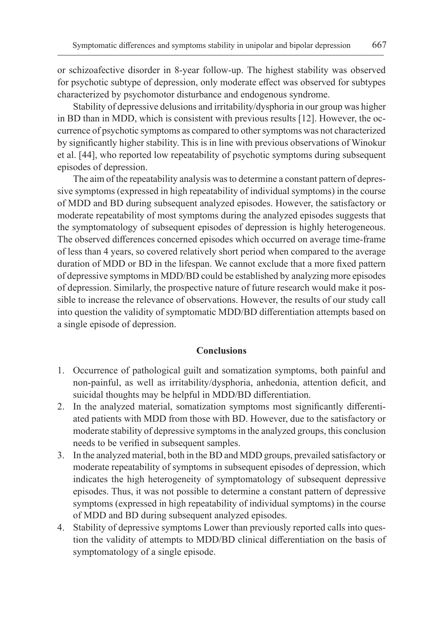or schizoafective disorder in 8-year follow-up. The highest stability was observed for psychotic subtype of depression, only moderate effect was observed for subtypes characterized by psychomotor disturbance and endogenous syndrome.

Stability of depressive delusions and irritability/dysphoria in our group was higher in BD than in MDD, which is consistent with previous results [12]. However, the occurrence of psychotic symptoms as compared to other symptoms was not characterized by significantly higher stability. This is in line with previous observations of Winokur et al. [44], who reported low repeatability of psychotic symptoms during subsequent episodes of depression.

The aim of the repeatability analysis was to determine a constant pattern of depressive symptoms (expressed in high repeatability of individual symptoms) in the course of MDD and BD during subsequent analyzed episodes. However, the satisfactory or moderate repeatability of most symptoms during the analyzed episodes suggests that the symptomatology of subsequent episodes of depression is highly heterogeneous. The observed differences concerned episodes which occurred on average time-frame of less than 4 years, so covered relatively short period when compared to the average duration of MDD or BD in the lifespan. We cannot exclude that a more fixed pattern of depressive symptoms in MDD/BD could be established by analyzing more episodes of depression. Similarly, the prospective nature of future research would make it possible to increase the relevance of observations. However, the results of our study call into question the validity of symptomatic MDD/BD differentiation attempts based on a single episode of depression.

# **Conclusions**

- 1. Occurrence of pathological guilt and somatization symptoms, both painful and non-painful, as well as irritability/dysphoria, anhedonia, attention deficit, and suicidal thoughts may be helpful in MDD/BD differentiation.
- 2. In the analyzed material, somatization symptoms most significantly differentiated patients with MDD from those with BD. However, due to the satisfactory or moderate stability of depressive symptoms in the analyzed groups, this conclusion needs to be verified in subsequent samples.
- 3. In the analyzed material, both in the BD and MDD groups, prevailed satisfactory or moderate repeatability of symptoms in subsequent episodes of depression, which indicates the high heterogeneity of symptomatology of subsequent depressive episodes. Thus, it was not possible to determine a constant pattern of depressive symptoms (expressed in high repeatability of individual symptoms) in the course of MDD and BD during subsequent analyzed episodes.
- 4. Stability of depressive symptoms Lower than previously reported calls into question the validity of attempts to MDD/BD clinical differentiation on the basis of symptomatology of a single episode.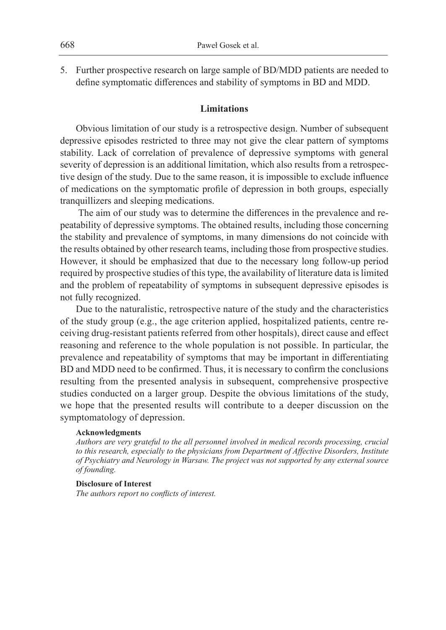5. Further prospective research on large sample of BD/MDD patients are needed to define symptomatic differences and stability of symptoms in BD and MDD.

# **Limitations**

Obvious limitation of our study is a retrospective design. Number of subsequent depressive episodes restricted to three may not give the clear pattern of symptoms stability. Lack of correlation of prevalence of depressive symptoms with general severity of depression is an additional limitation, which also results from a retrospective design of the study. Due to the same reason, it is impossible to exclude influence of medications on the symptomatic profile of depression in both groups, especially tranquillizers and sleeping medications.

 The aim of our study was to determine the differences in the prevalence and repeatability of depressive symptoms. The obtained results, including those concerning the stability and prevalence of symptoms, in many dimensions do not coincide with the results obtained by other research teams, including those from prospective studies. However, it should be emphasized that due to the necessary long follow-up period required by prospective studies of this type, the availability of literature data is limited and the problem of repeatability of symptoms in subsequent depressive episodes is not fully recognized.

Due to the naturalistic, retrospective nature of the study and the characteristics of the study group (e.g., the age criterion applied, hospitalized patients, centre receiving drug-resistant patients referred from other hospitals), direct cause and effect reasoning and reference to the whole population is not possible. In particular, the prevalence and repeatability of symptoms that may be important in differentiating BD and MDD need to be confirmed. Thus, it is necessary to confirm the conclusions resulting from the presented analysis in subsequent, comprehensive prospective studies conducted on a larger group. Despite the obvious limitations of the study, we hope that the presented results will contribute to a deeper discussion on the symptomatology of depression.

#### **Acknowledgments**

*Authors are very grateful to the all personnel involved in medical records processing, crucial to this research, especially to the physicians from Department of Affective Disorders, Institute of Psychiatry and Neurology in Warsaw. The project was not supported by any external source of founding.*

### **Disclosure of Interest**

*The authors report no conflicts of interest.*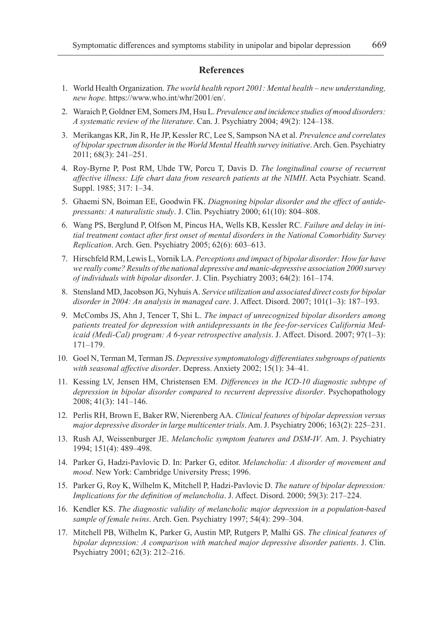#### **References**

- 1. World Health Organization. *The world health report 2001: Mental health new understanding, new hope*. https://www.who.int/whr/2001/en/.
- 2. Waraich P, Goldner EM, Somers JM, Hsu L. *Prevalence and incidence studies of mood disorders: A systematic review of the literature*. Can. J. Psychiatry 2004; 49(2): 124–138.
- 3. Merikangas KR, Jin R, He JP, Kessler RC, Lee S, Sampson NA et al. *Prevalence and correlates of bipolar spectrum disorder in the World Mental Health survey initiative*. Arch. Gen. Psychiatry 2011; 68(3): 241–251.
- 4. Roy-Byrne P, Post RM, Uhde TW, Porcu T, Davis D. *The longitudinal course of recurrent affective illness: Life chart data from research patients at the NIMH*. Acta Psychiatr. Scand. Suppl. 1985; 317: 1–34.
- 5. Ghaemi SN, Boiman EE, Goodwin FK. *Diagnosing bipolar disorder and the effect of antidepressants: A naturalistic study*. J. Clin. Psychiatry 2000; 61(10): 804–808.
- 6. Wang PS, Berglund P, Olfson M, Pincus HA, Wells KB, Kessler RC. *Failure and delay in initial treatment contact after first onset of mental disorders in the National Comorbidity Survey Replication*. Arch. Gen. Psychiatry 2005; 62(6): 603–613.
- 7. Hirschfeld RM, Lewis L, Vornik LA. *Perceptions and impact of bipolar disorder: How far have we really come? Results of the national depressive and manic-depressive association 2000 survey of individuals with bipolar disorder*. J. Clin. Psychiatry 2003; 64(2): 161–174.
- 8. Stensland MD, Jacobson JG, Nyhuis A. *Service utilization and associated direct costs for bipolar disorder in 2004: An analysis in managed care*. J. Affect. Disord. 2007; 101(1–3): 187–193.
- 9. McCombs JS, Ahn J, Tencer T, Shi L. *The impact of unrecognized bipolar disorders among patients treated for depression with antidepressants in the fee-for-services California Medicaid (Medi-Cal) program: A 6-year retrospective analysis*. J. Affect. Disord. 2007; 97(1–3): 171–179.
- 10. Goel N, Terman M, Terman JS. *Depressive symptomatology differentiates subgroups of patients with seasonal affective disorder*. Depress. Anxiety 2002; 15(1): 34–41.
- 11. Kessing LV, Jensen HM, Christensen EM. *Differences in the ICD-10 diagnostic subtype of depression in bipolar disorder compared to recurrent depressive disorder*. Psychopathology 2008; 41(3): 141–146.
- 12. Perlis RH, Brown E, Baker RW, Nierenberg AA. *Clinical features of bipolar depression versus major depressive disorder in large multicenter trials*. Am. J. Psychiatry 2006; 163(2): 225–231.
- 13. Rush AJ, Weissenburger JE. *Melancholic symptom features and DSM-IV*. Am. J. Psychiatry 1994; 151(4): 489–498.
- 14. Parker G, Hadzi-Pavlovic D. In: Parker G, editor. *Melancholia: A disorder of movement and mood*. New York: Cambridge University Press; 1996.
- 15. Parker G, Roy K, Wilhelm K, Mitchell P, Hadzi-Pavlovic D. *The nature of bipolar depression: Implications for the definition of melancholia*. J. Affect. Disord. 2000; 59(3): 217–224.
- 16. Kendler KS. *The diagnostic validity of melancholic major depression in a population-based sample of female twins*. Arch. Gen. Psychiatry 1997; 54(4): 299–304.
- 17. Mitchell PB, Wilhelm K, Parker G, Austin MP, Rutgers P, Malhi GS. *The clinical features of bipolar depression: A comparison with matched major depressive disorder patients*. J. Clin. Psychiatry 2001; 62(3): 212–216.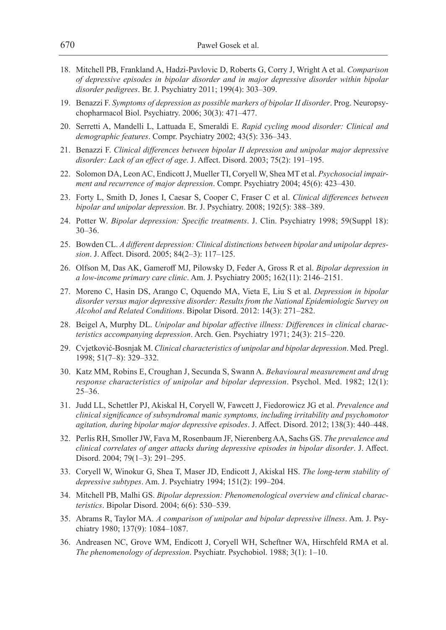- 18. Mitchell PB, Frankland A, Hadzi-Pavlovic D, Roberts G, Corry J, Wright A et al. *Comparison of depressive episodes in bipolar disorder and in major depressive disorder within bipolar disorder pedigrees*. Br. J. Psychiatry 2011; 199(4): 303–309.
- 19. Benazzi F. *Symptoms of depression as possible markers of bipolar II disorder*. Prog. Neuropsychopharmacol Biol. Psychiatry. 2006; 30(3): 471–477.
- 20. Serretti A, Mandelli L, Lattuada E, Smeraldi E. *Rapid cycling mood disorder: Clinical and demographic features*. Compr. Psychiatry 2002; 43(5): 336–343.
- 21. Benazzi F. *Clinical differences between bipolar II depression and unipolar major depressive disorder: Lack of an effect of age*. J. Affect. Disord. 2003; 75(2): 191–195.
- 22. Solomon DA, Leon AC, Endicott J, Mueller TI, Coryell W, Shea MT et al. *Psychosocial impairment and recurrence of major depression*. Compr. Psychiatry 2004; 45(6): 423–430.
- 23. Forty L, Smith D, Jones I, Caesar S, Cooper C, Fraser C et al. *Clinical differences between bipolar and unipolar depression*. Br. J. Psychiatry. 2008; 192(5): 388–389.
- 24. Potter W. *Bipolar depression: Specific treatments*. J. Clin. Psychiatry 1998; 59(Suppl 18): 30–36.
- 25. Bowden CL. *A different depression: Clinical distinctions between bipolar and unipolar depression*. J. Affect. Disord. 2005; 84(2–3): 117–125.
- 26. Olfson M, Das AK, Gameroff MJ, Pilowsky D, Feder A, Gross R et al. *Bipolar depression in a low-income primary care clinic*. Am. J. Psychiatry 2005; 162(11): 2146–2151.
- 27. Moreno C, Hasin DS, Arango C, Oquendo MA, Vieta E, Liu S et al. *Depression in bipolar disorder versus major depressive disorder: Results from the National Epidemiologic Survey on Alcohol and Related Conditions*. Bipolar Disord. 2012: 14(3): 271–282.
- 28. Beigel A, Murphy DL. *Unipolar and bipolar affective illness: Differences in clinical characteristics accompanying depression*. Arch. Gen. Psychiatry 1971; 24(3): 215–220.
- 29. Cvjetković-Bosnjak M. *Clinical characteristics of unipolar and bipolar depression*. Med. Pregl. 1998; 51(7–8): 329–332.
- 30. Katz MM, Robins E, Croughan J, Secunda S, Swann A. *Behavioural measurement and drug response characteristics of unipolar and bipolar depression*. Psychol. Med. 1982; 12(1): 25–36.
- 31. Judd LL, Schettler PJ, Akiskal H, Coryell W, Fawcett J, Fiedorowicz JG et al. *Prevalence and clinical significance of subsyndromal manic symptoms, including irritability and psychomotor agitation, during bipolar major depressive episodes*. J. Affect. Disord. 2012; 138(3): 440–448.
- 32. Perlis RH, Smoller JW, Fava M, Rosenbaum JF, Nierenberg AA, Sachs GS. *The prevalence and clinical correlates of anger attacks during depressive episodes in bipolar disorder*. J. Affect. Disord. 2004; 79(1–3): 291–295.
- 33. Coryell W, Winokur G, Shea T, Maser JD, Endicott J, Akiskal HS. *The long-term stability of depressive subtypes*. Am. J. Psychiatry 1994; 151(2): 199–204.
- 34. Mitchell PB, Malhi GS. *Bipolar depression: Phenomenological overview and clinical characteristics*. Bipolar Disord. 2004; 6(6): 530–539.
- 35. Abrams R, Taylor MA. *A comparison of unipolar and bipolar depressive illness*. Am. J. Psychiatry 1980; 137(9): 1084–1087.
- 36. Andreasen NC, Grove WM, Endicott J, Coryell WH, Scheftner WA, Hirschfeld RMA et al. *The phenomenology of depression*. Psychiatr. Psychobiol. 1988; 3(1): 1–10.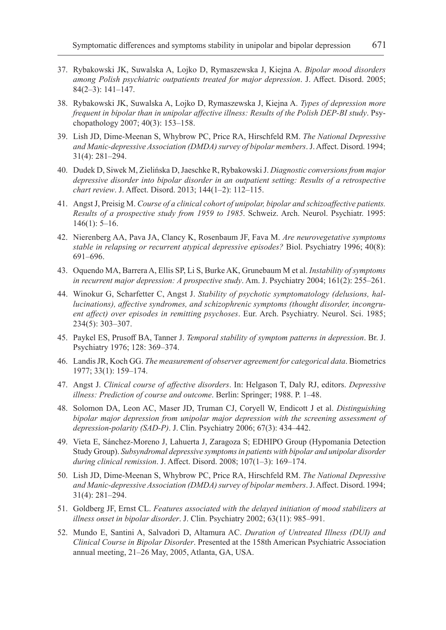- 37. Rybakowski JK, Suwalska A, Lojko D, Rymaszewska J, Kiejna A. *Bipolar mood disorders among Polish psychiatric outpatients treated for major depression*. J. Affect. Disord. 2005; 84(2–3): 141–147.
- 38. Rybakowski JK, Suwalska A, Lojko D, Rymaszewska J, Kiejna A. *Types of depression more frequent in bipolar than in unipolar affective illness: Results of the Polish DEP-BI study*. Psychopathology 2007; 40(3): 153–158.
- 39. Lish JD, Dime-Meenan S, Whybrow PC, Price RA, Hirschfeld RM. *The National Depressive and Manic-depressive Association (DMDA) survey of bipolar members*. J. Affect. Disord. 1994; 31(4): 281–294.
- 40. Dudek D, Siwek M, Zielińska D, Jaeschke R, Rybakowski J. *Diagnostic conversions from major depressive disorder into bipolar disorder in an outpatient setting: Results of a retrospective chart review*. J. Affect. Disord. 2013; 144(1–2): 112–115.
- 41. Angst J, Preisig M. *Course of a clinical cohort of unipolar, bipolar and schizoaffective patients. Results of a prospective study from 1959 to 1985*. Schweiz. Arch. Neurol. Psychiatr. 1995: 146(1): 5–16.
- 42. Nierenberg AA, Pava JA, Clancy K, Rosenbaum JF, Fava M. *Are neurovegetative symptoms stable in relapsing or recurrent atypical depressive episodes?* Biol. Psychiatry 1996; 40(8): 691–696.
- 43. Oquendo MA, Barrera A, Ellis SP, Li S, Burke AK, Grunebaum M et al. *Instability of symptoms in recurrent major depression: A prospective study*. Am. J. Psychiatry 2004; 161(2): 255–261.
- 44. Winokur G, Scharfetter C, Angst J. *Stability of psychotic symptomatology (delusions, hallucinations), affective syndromes, and schizophrenic symptoms (thought disorder, incongruent affect) over episodes in remitting psychoses*. Eur. Arch. Psychiatry. Neurol. Sci. 1985; 234(5): 303–307.
- 45. Paykel ES, Prusoff BA, Tanner J. *Temporal stability of symptom patterns in depression*. Br. J. Psychiatry 1976; 128: 369–374.
- 46. Landis JR, Koch GG. *The measurement of observer agreement for categorical data*. Biometrics 1977; 33(1): 159–174.
- 47. Angst J. *Clinical course of affective disorders*. In: Helgason T, Daly RJ, editors. *Depressive illness: Prediction of course and outcome*. Berlin: Springer; 1988. P. 1–48.
- 48. Solomon DA, Leon AC, Maser JD, Truman CJ, Coryell W, Endicott J et al. *Distinguishing bipolar major depression from unipolar major depression with the screening assessment of depression-polarity (SAD-P)*. J. Clin. Psychiatry 2006; 67(3): 434–442.
- 49. Vieta E, Sánchez-Moreno J, Lahuerta J, Zaragoza S; EDHIPO Group (Hypomania Detection Study Group). *Subsyndromal depressive symptoms in patients with bipolar and unipolar disorder during clinical remission*. J. Affect. Disord. 2008; 107(1–3): 169–174.
- 50. Lish JD, Dime-Meenan S, Whybrow PC, Price RA, Hirschfeld RM. *The National Depressive and Manic-depressive Association (DMDA) survey of bipolar members*. J. Affect. Disord. 1994; 31(4): 281–294.
- 51. Goldberg JF, Ernst CL. *Features associated with the delayed initiation of mood stabilizers at illness onset in bipolar disorder*. J. Clin. Psychiatry 2002; 63(11): 985–991.
- 52. Mundo E, Santini A, Salvadori D, Altamura AC. *Duration of Untreated Illness (DUI) and Clinical Course in Bipolar Disorder*. Presented at the 158th American Psychiatric Association annual meeting, 21–26 May, 2005, Atlanta, GA, USA.